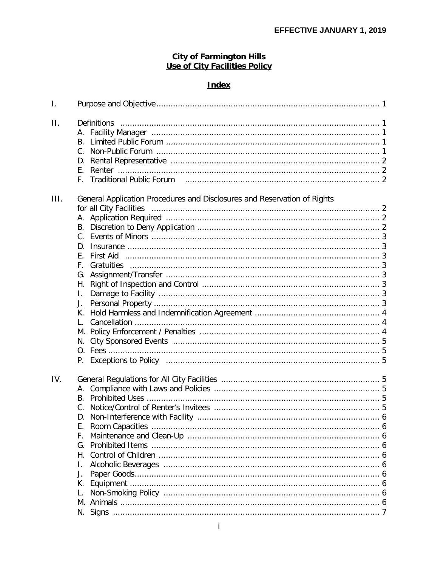# **City of Farmington Hills<br>Use of City Facilities Policy**

## **Index**

| Τ.   |                                                                                                  |
|------|--------------------------------------------------------------------------------------------------|
| П.   | В.                                                                                               |
| III. | General Application Procedures and Disclosures and Reservation of Rights<br>F.<br>I.<br>J.<br>Ι. |
| IV.  | Е.<br>F.<br>G.<br>Н.<br>I.<br>J.<br>К.                                                           |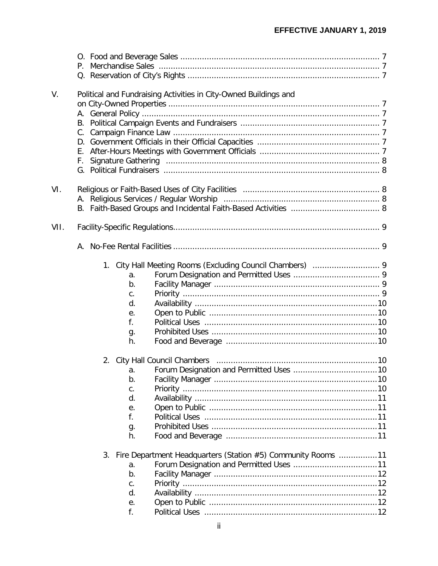| V.   |             | Political and Fundraising Activities in City-Owned Buildings and |  |
|------|-------------|------------------------------------------------------------------|--|
|      |             |                                                                  |  |
|      |             |                                                                  |  |
|      |             |                                                                  |  |
|      |             |                                                                  |  |
|      |             |                                                                  |  |
|      |             |                                                                  |  |
|      |             |                                                                  |  |
|      |             |                                                                  |  |
|      |             |                                                                  |  |
| VI.  |             |                                                                  |  |
|      |             |                                                                  |  |
|      |             |                                                                  |  |
|      |             |                                                                  |  |
|      |             |                                                                  |  |
| VII. |             |                                                                  |  |
|      |             |                                                                  |  |
|      |             |                                                                  |  |
|      |             |                                                                  |  |
|      |             |                                                                  |  |
|      | a.          |                                                                  |  |
|      | b.          |                                                                  |  |
|      | C.          |                                                                  |  |
|      | d.          |                                                                  |  |
|      | е.          |                                                                  |  |
|      | f.          |                                                                  |  |
|      |             |                                                                  |  |
|      | g.<br>h.    |                                                                  |  |
|      |             |                                                                  |  |
|      |             |                                                                  |  |
|      |             |                                                                  |  |
|      | a.          |                                                                  |  |
|      | b.          |                                                                  |  |
|      | $C_{\cdot}$ |                                                                  |  |
|      | d.          |                                                                  |  |
|      | е.          |                                                                  |  |
|      | f.          |                                                                  |  |
|      | g.          |                                                                  |  |
|      | h.          |                                                                  |  |
|      |             |                                                                  |  |
|      |             | 3. Fire Department Headquarters (Station #5) Community Rooms 11  |  |
|      | a.          |                                                                  |  |
|      | b.          |                                                                  |  |
|      | $C_{\cdot}$ |                                                                  |  |
|      | d.          |                                                                  |  |
|      | е.          |                                                                  |  |
|      |             |                                                                  |  |
|      | f.          |                                                                  |  |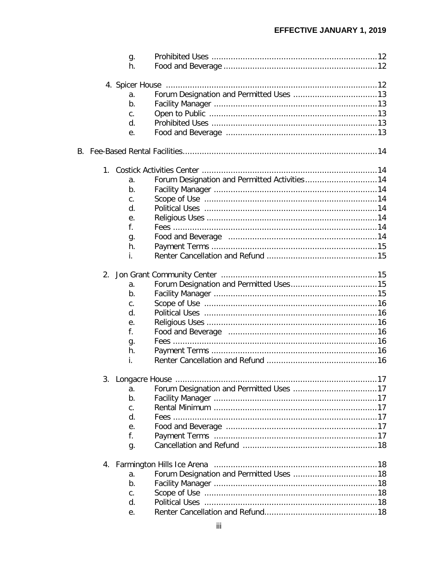| g.             |                                              |  |
|----------------|----------------------------------------------|--|
| h.             |                                              |  |
|                |                                              |  |
| a.             |                                              |  |
| $b$ .          |                                              |  |
| $C_{\cdot}$    |                                              |  |
| d.             |                                              |  |
| е.             |                                              |  |
|                |                                              |  |
|                |                                              |  |
|                |                                              |  |
| а.             | Forum Designation and Permitted Activities14 |  |
| b.             |                                              |  |
| $C_{\cdot}$    |                                              |  |
| d.             |                                              |  |
| е.             |                                              |  |
| f.             |                                              |  |
| g.             |                                              |  |
| h.             |                                              |  |
| i.             |                                              |  |
|                |                                              |  |
| a.             |                                              |  |
| b.             |                                              |  |
| C <sub>1</sub> |                                              |  |
| d.             |                                              |  |
| е.             |                                              |  |
| f.             |                                              |  |
| g.             |                                              |  |
| h.             |                                              |  |
| İ.             |                                              |  |
|                |                                              |  |
| a.             |                                              |  |
| b.             |                                              |  |
| C.             |                                              |  |
| d.             |                                              |  |
| е.             |                                              |  |
| f.             |                                              |  |
| g.             |                                              |  |
|                |                                              |  |
| a.             |                                              |  |
| b.             |                                              |  |
| $C_{\cdot}$    |                                              |  |
| d.             |                                              |  |
| е.             |                                              |  |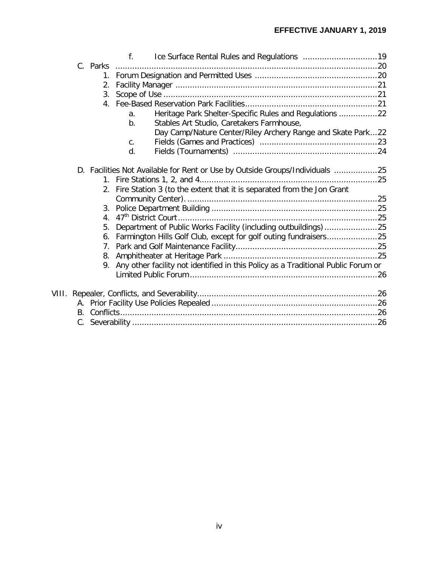|  |                  | $f_{\cdot}$                                                                       |  |
|--|------------------|-----------------------------------------------------------------------------------|--|
|  | C. Parks         |                                                                                   |  |
|  | 1.               |                                                                                   |  |
|  | 2.               |                                                                                   |  |
|  | 3.               |                                                                                   |  |
|  |                  |                                                                                   |  |
|  |                  | Heritage Park Shelter-Specific Rules and Regulations 22<br>a.                     |  |
|  |                  | Stables Art Studio, Caretakers Farmhouse,<br>b.                                   |  |
|  |                  | Day Camp/Nature Center/Riley Archery Range and Skate Park22                       |  |
|  |                  | $C_{1}$                                                                           |  |
|  |                  | d.                                                                                |  |
|  |                  |                                                                                   |  |
|  |                  | D. Facilities Not Available for Rent or Use by Outside Groups/Individuals 25      |  |
|  |                  |                                                                                   |  |
|  |                  | 2. Fire Station 3 (to the extent that it is separated from the Jon Grant          |  |
|  |                  |                                                                                   |  |
|  | 3.               |                                                                                   |  |
|  | $\overline{4}$ . |                                                                                   |  |
|  | 5.               |                                                                                   |  |
|  | 6.               | Farmington Hills Golf Club, except for golf outing fundraisers25                  |  |
|  | 7.               |                                                                                   |  |
|  |                  |                                                                                   |  |
|  | 9.               | Any other facility not identified in this Policy as a Traditional Public Forum or |  |
|  |                  |                                                                                   |  |
|  |                  |                                                                                   |  |
|  |                  |                                                                                   |  |
|  |                  |                                                                                   |  |
|  |                  |                                                                                   |  |
|  |                  |                                                                                   |  |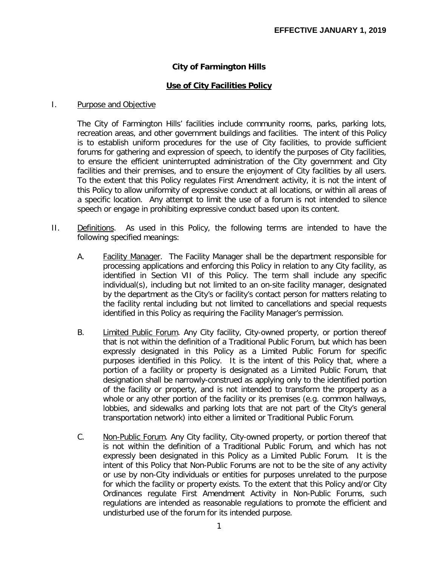## **City of Farmington Hills**

### **Use of City Facilities Policy**

#### I. Purpose and Objective

The City of Farmington Hills' facilities include community rooms, parks, parking lots, recreation areas, and other government buildings and facilities. The intent of this Policy is to establish uniform procedures for the use of City facilities, to provide sufficient forums for gathering and expression of speech, to identify the purposes of City facilities, to ensure the efficient uninterrupted administration of the City government and City facilities and their premises, and to ensure the enjoyment of City facilities by all users. To the extent that this Policy regulates First Amendment activity, it is not the intent of this Policy to allow uniformity of expressive conduct at all locations, or within all areas of a specific location. Any attempt to limit the use of a forum is not intended to silence speech or engage in prohibiting expressive conduct based upon its content.

- II. Definitions. As used in this Policy, the following terms are intended to have the following specified meanings:
	- A. Facility Manager. The Facility Manager shall be the department responsible for processing applications and enforcing this Policy in relation to any City facility, as identified in Section VII of this Policy. The term shall include any specific individual(s), including but not limited to an on-site facility manager, designated by the department as the City's or facility's contact person for matters relating to the facility rental including but not limited to cancellations and special requests identified in this Policy as requiring the Facility Manager's permission.
	- B. Limited Public Forum. Any City facility, City-owned property, or portion thereof that is not within the definition of a Traditional Public Forum, but which has been expressly designated in this Policy as a Limited Public Forum for specific purposes identified in this Policy. It is the intent of this Policy that, where a portion of a facility or property is designated as a Limited Public Forum, that designation shall be narrowly-construed as applying only to the identified portion of the facility or property, and is not intended to transform the property as a whole or any other portion of the facility or its premises (e.g. common hallways, lobbies, and sidewalks and parking lots that are not part of the City's general transportation network) into either a limited or Traditional Public Forum.
	- C. Non-Public Forum. Any City facility, City-owned property, or portion thereof that is not within the definition of a Traditional Public Forum, and which has not expressly been designated in this Policy as a Limited Public Forum. It is the intent of this Policy that Non-Public Forums are not to be the site of any activity or use by non-City individuals or entities for purposes unrelated to the purpose for which the facility or property exists. To the extent that this Policy and/or City Ordinances regulate First Amendment Activity in Non-Public Forums, such regulations are intended as reasonable regulations to promote the efficient and undisturbed use of the forum for its intended purpose.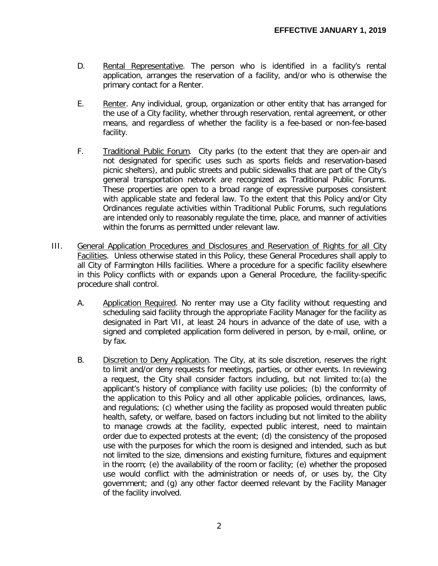- D. Rental Representative. The person who is identified in a facility's rental application, arranges the reservation of a facility, and/or who is otherwise the primary contact for a Renter.
- E. Renter. Any individual, group, organization or other entity that has arranged for the use of a City facility, whether through reservation, rental agreement, or other means, and regardless of whether the facility is a fee-based or non-fee-based facility.
- F. Traditional Public Forum. City parks (to the extent that they are open-air and not designated for specific uses such as sports fields and reservation-based picnic shelters), and public streets and public sidewalks that are part of the City's general transportation network are recognized as Traditional Public Forums. These properties are open to a broad range of expressive purposes consistent with applicable state and federal law. To the extent that this Policy and/or City Ordinances regulate activities within Traditional Public Forums, such regulations are intended only to reasonably regulate the time, place, and manner of activities within the forums as permitted under relevant law.
- III. General Application Procedures and Disclosures and Reservation of Rights for all City Facilities. Unless otherwise stated in this Policy, these General Procedures shall apply to all City of Farmington Hills facilities. Where a procedure for a specific facility elsewhere in this Policy conflicts with or expands upon a General Procedure, the facility-specific procedure shall control.
	- A. Application Required. No renter may use a City facility without requesting and scheduling said facility through the appropriate Facility Manager for the facility as designated in Part VII, at least 24 hours in advance of the date of use, with a signed and completed application form delivered in person, by e-mail, online, or by fax.
	- B. Discretion to Deny Application. The City, at its sole discretion, reserves the right to limit and/or deny requests for meetings, parties, or other events. In reviewing a request, the City shall consider factors including, but not limited to:(a) the applicant's history of compliance with facility use policies; (b) the conformity of the application to this Policy and all other applicable policies, ordinances, laws, and regulations; (c) whether using the facility as proposed would threaten public health, safety, or welfare, based on factors including but not limited to the ability to manage crowds at the facility, expected public interest, need to maintain order due to expected protests at the event; (d) the consistency of the proposed use with the purposes for which the room is designed and intended, such as but not limited to the size, dimensions and existing furniture, fixtures and equipment in the room; (e) the availability of the room or facility; (e) whether the proposed use would conflict with the administration or needs of, or uses by, the City government; and (g) any other factor deemed relevant by the Facility Manager of the facility involved.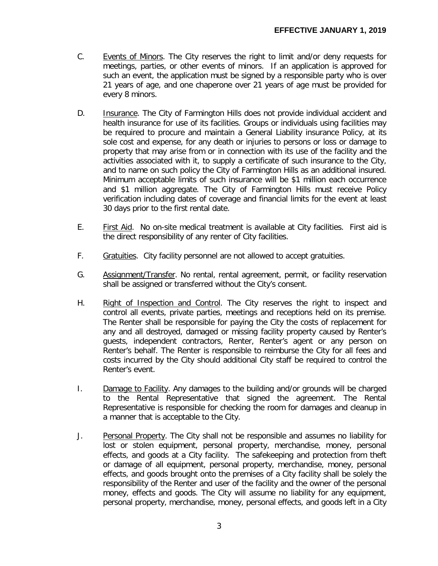- C. Events of Minors. The City reserves the right to limit and/or deny requests for meetings, parties, or other events of minors. If an application is approved for such an event, the application must be signed by a responsible party who is over 21 years of age, and one chaperone over 21 years of age must be provided for every 8 minors.
- D. **Insurance.** The City of Farmington Hills does not provide individual accident and health insurance for use of its facilities. Groups or individuals using facilities may be required to procure and maintain a General Liability insurance Policy, at its sole cost and expense, for any death or injuries to persons or loss or damage to property that may arise from or in connection with its use of the facility and the activities associated with it, to supply a certificate of such insurance to the City, and to name on such policy the City of Farmington Hills as an additional insured. Minimum acceptable limits of such insurance will be \$1 million each occurrence and \$1 million aggregate. The City of Farmington Hills must receive Policy verification including dates of coverage and financial limits for the event at least 30 days prior to the first rental date.
- E. First Aid. No on-site medical treatment is available at City facilities. First aid is the direct responsibility of any renter of City facilities.
- F. Gratuities. City facility personnel are not allowed to accept gratuities.
- G. Assignment/Transfer. No rental, rental agreement, permit, or facility reservation shall be assigned or transferred without the City's consent.
- H. Right of Inspection and Control. The City reserves the right to inspect and control all events, private parties, meetings and receptions held on its premise. The Renter shall be responsible for paying the City the costs of replacement for any and all destroyed, damaged or missing facility property caused by Renter's guests, independent contractors, Renter, Renter's agent or any person on Renter's behalf. The Renter is responsible to reimburse the City for all fees and costs incurred by the City should additional City staff be required to control the Renter's event.
- I. Damage to Facility. Any damages to the building and/or grounds will be charged to the Rental Representative that signed the agreement. The Rental Representative is responsible for checking the room for damages and cleanup in a manner that is acceptable to the City.
- J. Personal Property. The City shall not be responsible and assumes no liability for lost or stolen equipment, personal property, merchandise, money, personal effects, and goods at a City facility. The safekeeping and protection from theft or damage of all equipment, personal property, merchandise, money, personal effects, and goods brought onto the premises of a City facility shall be solely the responsibility of the Renter and user of the facility and the owner of the personal money, effects and goods. The City will assume no liability for any equipment, personal property, merchandise, money, personal effects, and goods left in a City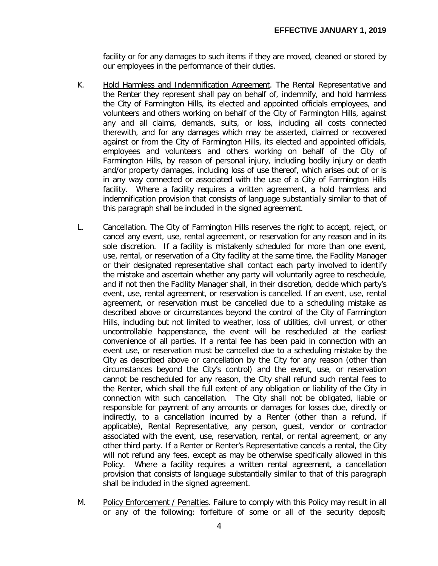facility or for any damages to such items if they are moved, cleaned or stored by our employees in the performance of their duties.

- K. Hold Harmless and Indemnification Agreement. The Rental Representative and the Renter they represent shall pay on behalf of, indemnify, and hold harmless the City of Farmington Hills, its elected and appointed officials employees, and volunteers and others working on behalf of the City of Farmington Hills, against any and all claims, demands, suits, or loss, including all costs connected therewith, and for any damages which may be asserted, claimed or recovered against or from the City of Farmington Hills, its elected and appointed officials, employees and volunteers and others working on behalf of the City of Farmington Hills, by reason of personal injury, including bodily injury or death and/or property damages, including loss of use thereof, which arises out of or is in any way connected or associated with the use of a City of Farmington Hills facility. Where a facility requires a written agreement, a hold harmless and indemnification provision that consists of language substantially similar to that of this paragraph shall be included in the signed agreement.
- L. Cancellation. The City of Farmington Hills reserves the right to accept, reject, or cancel any event, use, rental agreement, or reservation for any reason and in its sole discretion. If a facility is mistakenly scheduled for more than one event, use, rental, or reservation of a City facility at the same time, the Facility Manager or their designated representative shall contact each party involved to identify the mistake and ascertain whether any party will voluntarily agree to reschedule, and if not then the Facility Manager shall, in their discretion, decide which party's event, use, rental agreement, or reservation is cancelled. If an event, use, rental agreement, or reservation must be cancelled due to a scheduling mistake as described above or circumstances beyond the control of the City of Farmington Hills, including but not limited to weather, loss of utilities, civil unrest, or other uncontrollable happenstance, the event will be rescheduled at the earliest convenience of all parties. If a rental fee has been paid in connection with an event use, or reservation must be cancelled due to a scheduling mistake by the City as described above or cancellation by the City for any reason (other than circumstances beyond the City's control) and the event, use, or reservation cannot be rescheduled for any reason, the City shall refund such rental fees to the Renter, which shall the full extent of any obligation or liability of the City in connection with such cancellation. The City shall not be obligated, liable or responsible for payment of any amounts or damages for losses due, directly or indirectly, to a cancellation incurred by a Renter (other than a refund, if applicable), Rental Representative, any person, guest, vendor or contractor associated with the event, use, reservation, rental, or rental agreement, or any other third party. If a Renter or Renter's Representative cancels a rental, the City will not refund any fees, except as may be otherwise specifically allowed in this Policy. Where a facility requires a written rental agreement, a cancellation provision that consists of language substantially similar to that of this paragraph shall be included in the signed agreement.
- M. Policy Enforcement / Penalties. Failure to comply with this Policy may result in all or any of the following: forfeiture of some or all of the security deposit;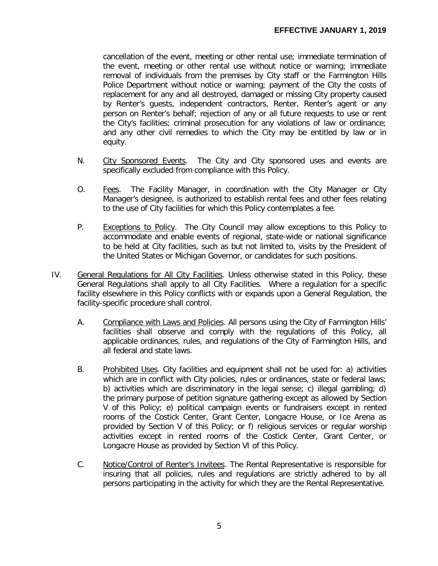cancellation of the event, meeting or other rental use; immediate termination of the event, meeting or other rental use without notice or warning; immediate removal of individuals from the premises by City staff or the Farmington Hills Police Department without notice or warning; payment of the City the costs of replacement for any and all destroyed, damaged or missing City property caused by Renter's guests, independent contractors, Renter, Renter's agent or any person on Renter's behalf; rejection of any or all future requests to use or rent the City's facilities; criminal prosecution for any violations of law or ordinance; and any other civil remedies to which the City may be entitled by law or in equity.

- N. City Sponsored Events. The City and City sponsored uses and events are specifically excluded from compliance with this Policy.
- O. Fees. The Facility Manager, in coordination with the City Manager or City Manager's designee, is authorized to establish rental fees and other fees relating to the use of City facilities for which this Policy contemplates a fee.
- P. Exceptions to Policy. The City Council may allow exceptions to this Policy to accommodate and enable events of regional, state-wide or national significance to be held at City facilities, such as but not limited to, visits by the President of the United States or Michigan Governor, or candidates for such positions.
- IV. General Regulations for All City Facilities. Unless otherwise stated in this Policy, these General Regulations shall apply to all City Facilities. Where a regulation for a specific facility elsewhere in this Policy conflicts with or expands upon a General Regulation, the facility-specific procedure shall control.
	- A. Compliance with Laws and Policies. All persons using the City of Farmington Hills' facilities shall observe and comply with the regulations of this Policy, all applicable ordinances, rules, and regulations of the City of Farmington Hills, and all federal and state laws.
	- B. Prohibited Uses. City facilities and equipment shall not be used for: a) activities which are in conflict with City policies, rules or ordinances, state or federal laws; b) activities which are discriminatory in the legal sense; c) illegal gambling; d) the primary purpose of petition signature gathering except as allowed by Section V of this Policy; e) political campaign events or fundraisers except in rented rooms of the Costick Center, Grant Center, Longacre House, or Ice Arena as provided by Section V of this Policy; or f) religious services or regular worship activities except in rented rooms of the Costick Center, Grant Center, or Longacre House as provided by Section VI of this Policy.
	- C. Notice/Control of Renter's Invitees. The Rental Representative is responsible for insuring that all policies, rules and regulations are strictly adhered to by all persons participating in the activity for which they are the Rental Representative.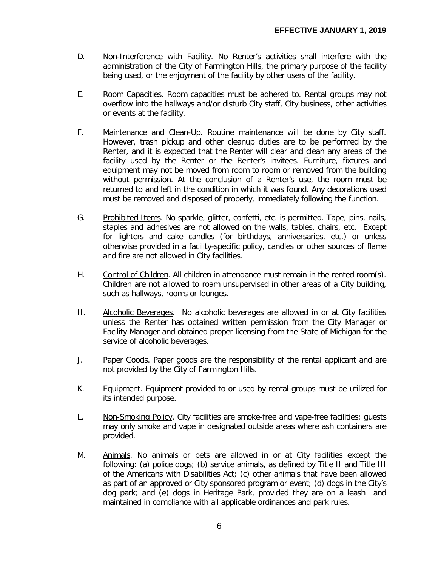- D. Non-Interference with Facility. No Renter's activities shall interfere with the administration of the City of Farmington Hills, the primary purpose of the facility being used, or the enjoyment of the facility by other users of the facility.
- E. Room Capacities. Room capacities must be adhered to. Rental groups may not overflow into the hallways and/or disturb City staff, City business, other activities or events at the facility.
- F. Maintenance and Clean-Up. Routine maintenance will be done by City staff. However, trash pickup and other cleanup duties are to be performed by the Renter, and it is expected that the Renter will clear and clean any areas of the facility used by the Renter or the Renter's invitees. Furniture, fixtures and equipment may not be moved from room to room or removed from the building without permission. At the conclusion of a Renter's use, the room must be returned to and left in the condition in which it was found. Any decorations used must be removed and disposed of properly, immediately following the function.
- G. Prohibited Items. No sparkle, glitter, confetti, etc. is permitted. Tape, pins, nails, staples and adhesives are not allowed on the walls, tables, chairs, etc. Except for lighters and cake candles (for birthdays, anniversaries, etc.) or unless otherwise provided in a facility-specific policy, candles or other sources of flame and fire are not allowed in City facilities.
- H. Control of Children. All children in attendance must remain in the rented room(s). Children are not allowed to roam unsupervised in other areas of a City building, such as hallways, rooms or lounges.
- II. Alcoholic Beverages. No alcoholic beverages are allowed in or at City facilities unless the Renter has obtained written permission from the City Manager or Facility Manager and obtained proper licensing from the State of Michigan for the service of alcoholic beverages.
- J. Paper Goods. Paper goods are the responsibility of the rental applicant and are not provided by the City of Farmington Hills.
- K. Equipment. Equipment provided to or used by rental groups must be utilized for its intended purpose.
- L. Non-Smoking Policy. City facilities are smoke-free and vape-free facilities; guests may only smoke and vape in designated outside areas where ash containers are provided.
- M. Animals. No animals or pets are allowed in or at City facilities except the following: (a) police dogs; (b) service animals, as defined by Title II and Title III of the Americans with Disabilities Act; (c) other animals that have been allowed as part of an approved or City sponsored program or event; (d) dogs in the City's dog park; and (e) dogs in Heritage Park, provided they are on a leash and maintained in compliance with all applicable ordinances and park rules.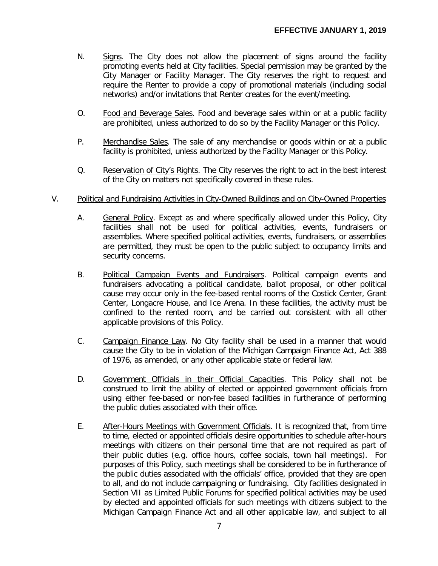- N. Signs. The City does not allow the placement of signs around the facility promoting events held at City facilities. Special permission may be granted by the City Manager or Facility Manager. The City reserves the right to request and require the Renter to provide a copy of promotional materials (including social networks) and/or invitations that Renter creates for the event/meeting.
- O. Food and Beverage Sales. Food and beverage sales within or at a public facility are prohibited, unless authorized to do so by the Facility Manager or this Policy.
- P. Merchandise Sales. The sale of any merchandise or goods within or at a public facility is prohibited, unless authorized by the Facility Manager or this Policy.
- Q. Reservation of City's Rights. The City reserves the right to act in the best interest of the City on matters not specifically covered in these rules.

#### V. Political and Fundraising Activities in City-Owned Buildings and on City-Owned Properties

- A. General Policy. Except as and where specifically allowed under this Policy, City facilities shall not be used for political activities, events, fundraisers or assemblies. Where specified political activities, events, fundraisers, or assemblies are permitted, they must be open to the public subject to occupancy limits and security concerns.
- B. Political Campaign Events and Fundraisers. Political campaign events and fundraisers advocating a political candidate, ballot proposal, or other political cause may occur only in the fee-based rental rooms of the Costick Center, Grant Center, Longacre House, and Ice Arena. In these facilities, the activity must be confined to the rented room, and be carried out consistent with all other applicable provisions of this Policy.
- C. Campaign Finance Law. No City facility shall be used in a manner that would cause the City to be in violation of the Michigan Campaign Finance Act, Act 388 of 1976, as amended, or any other applicable state or federal law.
- D. Government Officials in their Official Capacities. This Policy shall not be construed to limit the ability of elected or appointed government officials from using either fee-based or non-fee based facilities in furtherance of performing the public duties associated with their office.
- E. After-Hours Meetings with Government Officials. It is recognized that, from time to time, elected or appointed officials desire opportunities to schedule after-hours meetings with citizens on their personal time that are not required as part of their public duties (e.g. office hours, coffee socials, town hall meetings). For purposes of this Policy, such meetings shall be considered to be in furtherance of the public duties associated with the officials' office, provided that they are open to all, and do not include campaigning or fundraising. City facilities designated in Section VII as Limited Public Forums for specified political activities may be used by elected and appointed officials for such meetings with citizens subject to the Michigan Campaign Finance Act and all other applicable law, and subject to all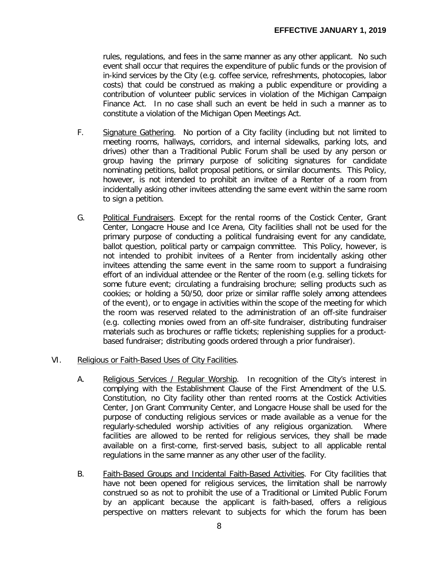rules, regulations, and fees in the same manner as any other applicant. No such event shall occur that requires the expenditure of public funds or the provision of in-kind services by the City (e.g. coffee service, refreshments, photocopies, labor costs) that could be construed as making a public expenditure or providing a contribution of volunteer public services in violation of the Michigan Campaign Finance Act. In no case shall such an event be held in such a manner as to constitute a violation of the Michigan Open Meetings Act.

- F. Signature Gathering. No portion of a City facility (including but not limited to meeting rooms, hallways, corridors, and internal sidewalks, parking lots, and drives) other than a Traditional Public Forum shall be used by any person or group having the primary purpose of soliciting signatures for candidate nominating petitions, ballot proposal petitions, or similar documents. This Policy, however, is not intended to prohibit an invitee of a Renter of a room from incidentally asking other invitees attending the same event within the same room to sign a petition.
- G. Political Fundraisers. Except for the rental rooms of the Costick Center, Grant Center, Longacre House and Ice Arena, City facilities shall not be used for the primary purpose of conducting a political fundraising event for any candidate, ballot question, political party or campaign committee. This Policy, however, is not intended to prohibit invitees of a Renter from incidentally asking other invitees attending the same event in the same room to support a fundraising effort of an individual attendee or the Renter of the room (e.g. selling tickets for some future event; circulating a fundraising brochure; selling products such as cookies; or holding a 50/50, door prize or similar raffle solely among attendees of the event), or to engage in activities within the scope of the meeting for which the room was reserved related to the administration of an off-site fundraiser (e.g. collecting monies owed from an off-site fundraiser, distributing fundraiser materials such as brochures or raffle tickets; replenishing supplies for a productbased fundraiser; distributing goods ordered through a prior fundraiser).
- VI. Religious or Faith-Based Uses of City Facilities.
	- A. Religious Services / Regular Worship. In recognition of the City's interest in complying with the Establishment Clause of the First Amendment of the U.S. Constitution, no City facility other than rented rooms at the Costick Activities Center, Jon Grant Community Center, and Longacre House shall be used for the purpose of conducting religious services or made available as a venue for the regularly-scheduled worship activities of any religious organization. Where facilities are allowed to be rented for religious services, they shall be made available on a first-come, first-served basis, subject to all applicable rental regulations in the same manner as any other user of the facility.
	- B. Faith-Based Groups and Incidental Faith-Based Activities. For City facilities that have not been opened for religious services, the limitation shall be narrowly construed so as not to prohibit the use of a Traditional or Limited Public Forum by an applicant because the applicant is faith-based, offers a religious perspective on matters relevant to subjects for which the forum has been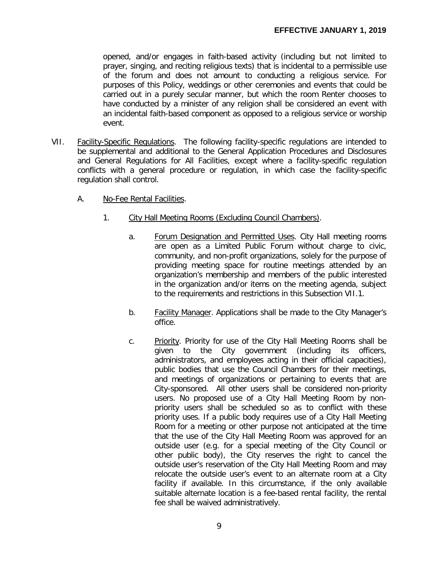opened, and/or engages in faith-based activity (including but not limited to prayer, singing, and reciting religious texts) that is incidental to a permissible use of the forum and does not amount to conducting a religious service. For purposes of this Policy, weddings or other ceremonies and events that could be carried out in a purely secular manner, but which the room Renter chooses to have conducted by a minister of any religion shall be considered an event with an incidental faith-based component as opposed to a religious service or worship event.

- VII. Facility-Specific Regulations. The following facility-specific regulations are intended to be supplemental and additional to the General Application Procedures and Disclosures and General Regulations for All Facilities, except where a facility-specific regulation conflicts with a general procedure or regulation, in which case the facility-specific regulation shall control.
	- A. No-Fee Rental Facilities.
		- 1. City Hall Meeting Rooms (Excluding Council Chambers).
			- a. Forum Designation and Permitted Uses. City Hall meeting rooms are open as a Limited Public Forum without charge to civic, community, and non-profit organizations, solely for the purpose of providing meeting space for routine meetings attended by an organization's membership and members of the public interested in the organization and/or items on the meeting agenda, subject to the requirements and restrictions in this Subsection VII.1.
			- b. Facility Manager. Applications shall be made to the City Manager's office.
			- c. Priority. Priority for use of the City Hall Meeting Rooms shall be given to the City government (including its officers, administrators, and employees acting in their official capacities), public bodies that use the Council Chambers for their meetings, and meetings of organizations or pertaining to events that are City-sponsored. All other users shall be considered non-priority users. No proposed use of a City Hall Meeting Room by nonpriority users shall be scheduled so as to conflict with these priority uses. If a public body requires use of a City Hall Meeting Room for a meeting or other purpose not anticipated at the time that the use of the City Hall Meeting Room was approved for an outside user (e.g. for a special meeting of the City Council or other public body), the City reserves the right to cancel the outside user's reservation of the City Hall Meeting Room and may relocate the outside user's event to an alternate room at a City facility if available. In this circumstance, if the only available suitable alternate location is a fee-based rental facility, the rental fee shall be waived administratively.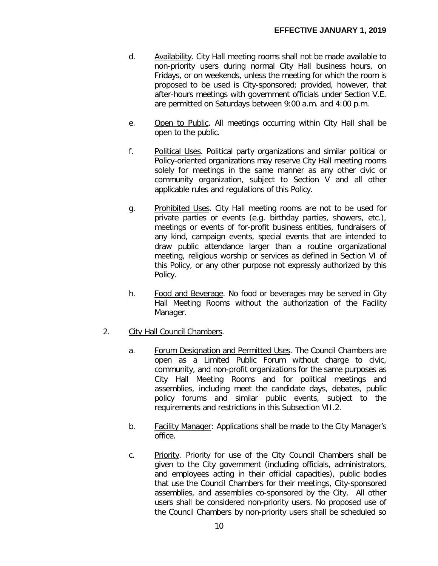- d. Availability. City Hall meeting rooms shall not be made available to non-priority users during normal City Hall business hours, on Fridays, or on weekends, unless the meeting for which the room is proposed to be used is City-sponsored; provided, however, that after-hours meetings with government officials under Section V.E. are permitted on Saturdays between 9:00 a.m. and 4:00 p.m.
- e. Open to Public. All meetings occurring within City Hall shall be open to the public.
- f. Political Uses. Political party organizations and similar political or Policy-oriented organizations may reserve City Hall meeting rooms solely for meetings in the same manner as any other civic or community organization, subject to Section V and all other applicable rules and regulations of this Policy.
- g. Prohibited Uses. City Hall meeting rooms are not to be used for private parties or events (e.g. birthday parties, showers, etc.), meetings or events of for-profit business entities, fundraisers of any kind, campaign events, special events that are intended to draw public attendance larger than a routine organizational meeting, religious worship or services as defined in Section VI of this Policy, or any other purpose not expressly authorized by this Policy.
- h. Food and Beverage. No food or beverages may be served in City Hall Meeting Rooms without the authorization of the Facility Manager.
- 2. City Hall Council Chambers.
	- a. Forum Designation and Permitted Uses. The Council Chambers are open as a Limited Public Forum without charge to civic, community, and non-profit organizations for the same purposes as City Hall Meeting Rooms and for political meetings and assemblies, including meet the candidate days, debates, public policy forums and similar public events, subject to the requirements and restrictions in this Subsection VII.2.
	- b. Facility Manager: Applications shall be made to the City Manager's office.
	- c. Priority. Priority for use of the City Council Chambers shall be given to the City government (including officials, administrators, and employees acting in their official capacities), public bodies that use the Council Chambers for their meetings, City-sponsored assemblies, and assemblies co-sponsored by the City. All other users shall be considered non-priority users. No proposed use of the Council Chambers by non-priority users shall be scheduled so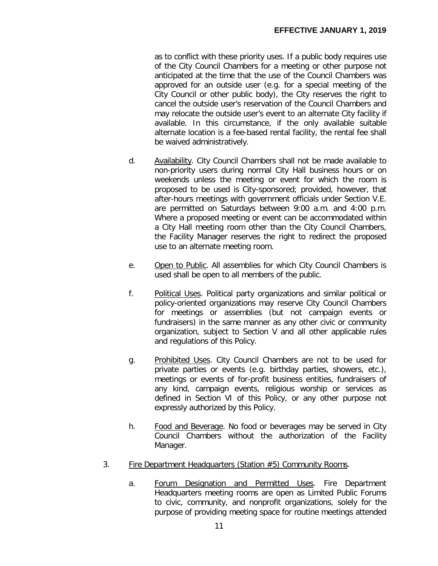as to conflict with these priority uses. If a public body requires use of the City Council Chambers for a meeting or other purpose not anticipated at the time that the use of the Council Chambers was approved for an outside user (e.g. for a special meeting of the City Council or other public body), the City reserves the right to cancel the outside user's reservation of the Council Chambers and may relocate the outside user's event to an alternate City facility if available. In this circumstance, if the only available suitable alternate location is a fee-based rental facility, the rental fee shall be waived administratively.

- d. Availability. City Council Chambers shall not be made available to non-priority users during normal City Hall business hours or on weekends unless the meeting or event for which the room is proposed to be used is City-sponsored; provided, however, that after-hours meetings with government officials under Section V.E. are permitted on Saturdays between 9:00 a.m. and 4:00 p.m. Where a proposed meeting or event can be accommodated within a City Hall meeting room other than the City Council Chambers, the Facility Manager reserves the right to redirect the proposed use to an alternate meeting room.
- e. Open to Public. All assemblies for which City Council Chambers is used shall be open to all members of the public.
- f. Political Uses. Political party organizations and similar political or policy-oriented organizations may reserve City Council Chambers for meetings or assemblies (but not campaign events or fundraisers) in the same manner as any other civic or community organization, subject to Section V and all other applicable rules and regulations of this Policy.
- g. Prohibited Uses. City Council Chambers are not to be used for private parties or events (e.g. birthday parties, showers, etc.), meetings or events of for-profit business entities, fundraisers of any kind, campaign events, religious worship or services as defined in Section VI of this Policy, or any other purpose not expressly authorized by this Policy.
- h. Food and Beverage. No food or beverages may be served in City Council Chambers without the authorization of the Facility Manager.
- 3. Fire Department Headquarters (Station #5) Community Rooms.
	- a. Forum Designation and Permitted Uses. Fire Department Headquarters meeting rooms are open as Limited Public Forums to civic, community, and nonprofit organizations, solely for the purpose of providing meeting space for routine meetings attended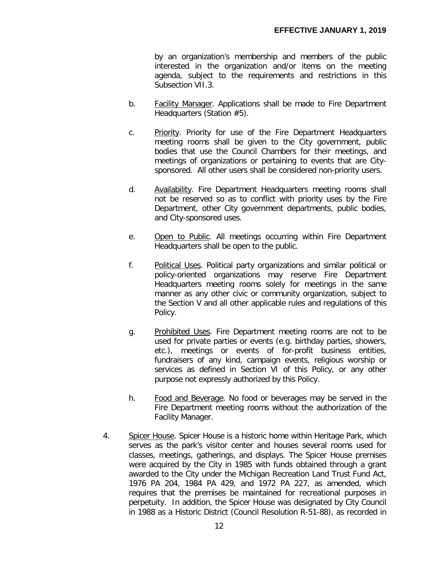by an organization's membership and members of the public interested in the organization and/or items on the meeting agenda, subject to the requirements and restrictions in this Subsection VII.3.

- b. Facility Manager. Applications shall be made to Fire Department Headquarters (Station #5).
- c. Priority. Priority for use of the Fire Department Headquarters meeting rooms shall be given to the City government, public bodies that use the Council Chambers for their meetings, and meetings of organizations or pertaining to events that are Citysponsored. All other users shall be considered non-priority users.
- d. Availability. Fire Department Headquarters meeting rooms shall not be reserved so as to conflict with priority uses by the Fire Department, other City government departments, public bodies, and City-sponsored uses.
- e. Open to Public. All meetings occurring within Fire Department Headquarters shall be open to the public.
- f. Political Uses. Political party organizations and similar political or policy-oriented organizations may reserve Fire Department Headquarters meeting rooms solely for meetings in the same manner as any other civic or community organization, subject to the Section V and all other applicable rules and regulations of this Policy.
- g. Prohibited Uses. Fire Department meeting rooms are not to be used for private parties or events (e.g. birthday parties, showers, etc.), meetings or events of for-profit business entities, fundraisers of any kind, campaign events, religious worship or services as defined in Section VI of this Policy, or any other purpose not expressly authorized by this Policy.
- h. Food and Beverage. No food or beverages may be served in the Fire Department meeting rooms without the authorization of the Facility Manager.
- 4. Spicer House. Spicer House is a historic home within Heritage Park, which serves as the park's visitor center and houses several rooms used for classes, meetings, gatherings, and displays. The Spicer House premises were acquired by the City in 1985 with funds obtained through a grant awarded to the City under the Michigan Recreation Land Trust Fund Act, 1976 PA 204, 1984 PA 429, and 1972 PA 227, as amended, which requires that the premises be maintained for recreational purposes in perpetuity. In addition, the Spicer House was designated by City Council in 1988 as a Historic District (Council Resolution R-51-88), as recorded in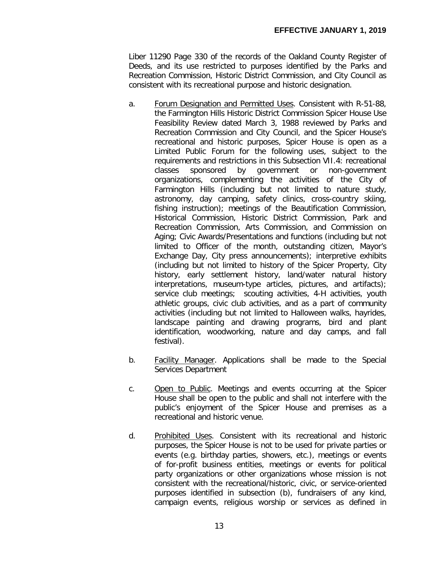Liber 11290 Page 330 of the records of the Oakland County Register of Deeds, and its use restricted to purposes identified by the Parks and Recreation Commission, Historic District Commission, and City Council as consistent with its recreational purpose and historic designation.

- a. Forum Designation and Permitted Uses. Consistent with R-51-88, the Farmington Hills Historic District Commission Spicer House Use Feasibility Review dated March 3, 1988 reviewed by Parks and Recreation Commission and City Council, and the Spicer House's recreational and historic purposes, Spicer House is open as a Limited Public Forum for the following uses, subject to the requirements and restrictions in this Subsection VII.4: recreational classes sponsored by government or non-government organizations, complementing the activities of the City of Farmington Hills (including but not limited to nature study, astronomy, day camping, safety clinics, cross-country skiing, fishing instruction); meetings of the Beautification Commission, Historical Commission, Historic District Commission, Park and Recreation Commission, Arts Commission, and Commission on Aging; Civic Awards/Presentations and functions (including but not limited to Officer of the month, outstanding citizen, Mayor's Exchange Day, City press announcements); interpretive exhibits (including but not limited to history of the Spicer Property, City history, early settlement history, land/water natural history interpretations, museum-type articles, pictures, and artifacts); service club meetings; scouting activities, 4-H activities, youth athletic groups, civic club activities, and as a part of community activities (including but not limited to Halloween walks, hayrides, landscape painting and drawing programs, bird and plant identification, woodworking, nature and day camps, and fall festival).
- b. Facility Manager. Applications shall be made to the Special Services Department
- c. Open to Public. Meetings and events occurring at the Spicer House shall be open to the public and shall not interfere with the public's enjoyment of the Spicer House and premises as a recreational and historic venue.
- d. Prohibited Uses. Consistent with its recreational and historic purposes, the Spicer House is not to be used for private parties or events (e.g. birthday parties, showers, etc.), meetings or events of for-profit business entities, meetings or events for political party organizations or other organizations whose mission is not consistent with the recreational/historic, civic, or service-oriented purposes identified in subsection (b), fundraisers of any kind, campaign events, religious worship or services as defined in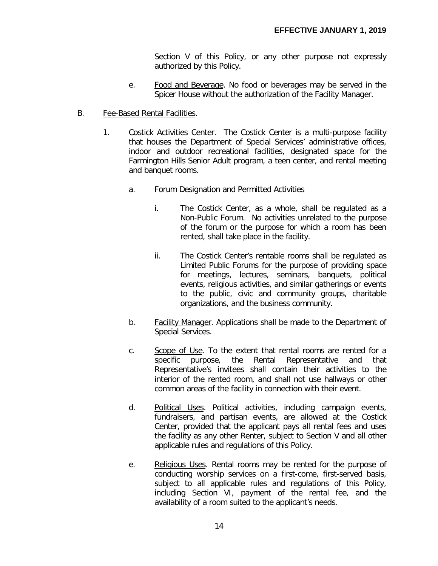Section V of this Policy, or any other purpose not expressly authorized by this Policy.

- e. Food and Beverage. No food or beverages may be served in the Spicer House without the authorization of the Facility Manager.
- B. Fee-Based Rental Facilities.
	- 1. Costick Activities Center. The Costick Center is a multi-purpose facility that houses the Department of Special Services' administrative offices, indoor and outdoor recreational facilities, designated space for the Farmington Hills Senior Adult program, a teen center, and rental meeting and banquet rooms.
		- a. Forum Designation and Permitted Activities
			- i. The Costick Center, as a whole, shall be regulated as a Non-Public Forum. No activities unrelated to the purpose of the forum or the purpose for which a room has been rented, shall take place in the facility.
			- ii. The Costick Center's rentable rooms shall be regulated as Limited Public Forums for the purpose of providing space for meetings, lectures, seminars, banquets, political events, religious activities, and similar gatherings or events to the public, civic and community groups, charitable organizations, and the business community.
		- b. Facility Manager. Applications shall be made to the Department of Special Services.
		- c. Scope of Use. To the extent that rental rooms are rented for a specific purpose, the Rental Representative and that Representative's invitees shall contain their activities to the interior of the rented room, and shall not use hallways or other common areas of the facility in connection with their event.
		- d. Political Uses. Political activities, including campaign events, fundraisers, and partisan events, are allowed at the Costick Center, provided that the applicant pays all rental fees and uses the facility as any other Renter, subject to Section V and all other applicable rules and regulations of this Policy.
		- e. Religious Uses. Rental rooms may be rented for the purpose of conducting worship services on a first-come, first-served basis, subject to all applicable rules and regulations of this Policy, including Section VI, payment of the rental fee, and the availability of a room suited to the applicant's needs.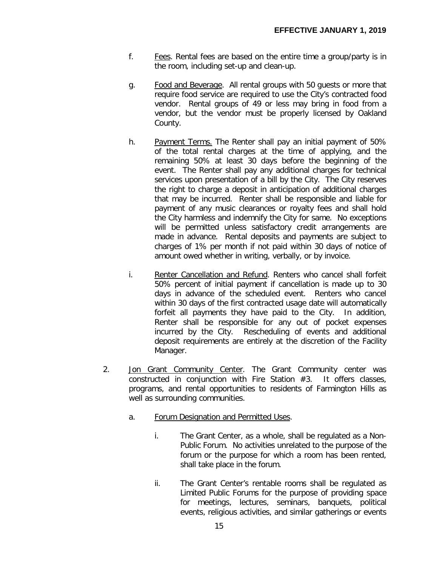- f. Fees. Rental fees are based on the entire time a group/party is in the room, including set-up and clean-up.
- g. Food and Beverage. All rental groups with 50 guests or more that require food service are required to use the City's contracted food vendor. Rental groups of 49 or less may bring in food from a vendor, but the vendor must be properly licensed by Oakland County.
- h. Payment Terms. The Renter shall pay an initial payment of 50% of the total rental charges at the time of applying, and the remaining 50% at least 30 days before the beginning of the event. The Renter shall pay any additional charges for technical services upon presentation of a bill by the City. The City reserves the right to charge a deposit in anticipation of additional charges that may be incurred. Renter shall be responsible and liable for payment of any music clearances or royalty fees and shall hold the City harmless and indemnify the City for same. No exceptions will be permitted unless satisfactory credit arrangements are made in advance. Rental deposits and payments are subject to charges of 1% per month if not paid within 30 days of notice of amount owed whether in writing, verbally, or by invoice.
- i. Renter Cancellation and Refund. Renters who cancel shall forfeit 50% percent of initial payment if cancellation is made up to 30 days in advance of the scheduled event. Renters who cancel within 30 days of the first contracted usage date will automatically forfeit all payments they have paid to the City. In addition, Renter shall be responsible for any out of pocket expenses incurred by the City. Rescheduling of events and additional deposit requirements are entirely at the discretion of the Facility Manager.
- 2. Jon Grant Community Center. The Grant Community center was constructed in conjunction with Fire Station #3. It offers classes, programs, and rental opportunities to residents of Farmington Hills as well as surrounding communities.
	- a. Forum Designation and Permitted Uses.
		- i. The Grant Center, as a whole, shall be regulated as a Non-Public Forum. No activities unrelated to the purpose of the forum or the purpose for which a room has been rented, shall take place in the forum.
		- ii. The Grant Center's rentable rooms shall be regulated as Limited Public Forums for the purpose of providing space for meetings, lectures, seminars, banquets, political events, religious activities, and similar gatherings or events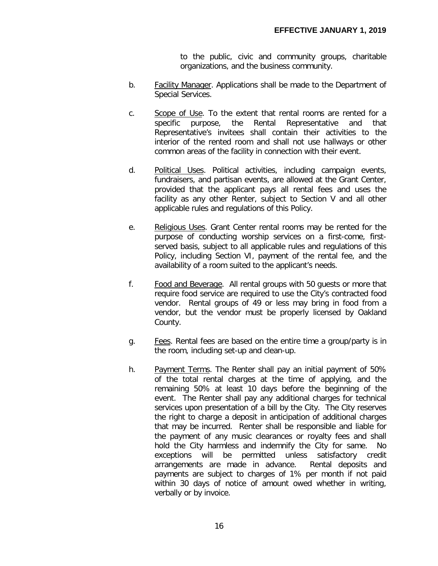to the public, civic and community groups, charitable organizations, and the business community.

- b. Facility Manager. Applications shall be made to the Department of Special Services.
- c. Scope of Use. To the extent that rental rooms are rented for a specific purpose, the Rental Representative and that Representative's invitees shall contain their activities to the interior of the rented room and shall not use hallways or other common areas of the facility in connection with their event.
- d. Political Uses. Political activities, including campaign events, fundraisers, and partisan events, are allowed at the Grant Center, provided that the applicant pays all rental fees and uses the facility as any other Renter, subject to Section V and all other applicable rules and regulations of this Policy.
- e. Religious Uses. Grant Center rental rooms may be rented for the purpose of conducting worship services on a first-come, firstserved basis, subject to all applicable rules and regulations of this Policy, including Section VI, payment of the rental fee, and the availability of a room suited to the applicant's needs.
- f. Food and Beverage. All rental groups with 50 guests or more that require food service are required to use the City's contracted food vendor. Rental groups of 49 or less may bring in food from a vendor, but the vendor must be properly licensed by Oakland County.
- g. **For Fees.** Rental fees are based on the entire time a group/party is in the room, including set-up and clean-up.
- h. Payment Terms. The Renter shall pay an initial payment of 50% of the total rental charges at the time of applying, and the remaining 50% at least 10 days before the beginning of the event. The Renter shall pay any additional charges for technical services upon presentation of a bill by the City. The City reserves the right to charge a deposit in anticipation of additional charges that may be incurred. Renter shall be responsible and liable for the payment of any music clearances or royalty fees and shall hold the City harmless and indemnify the City for same. No exceptions will be permitted unless satisfactory credit arrangements are made in advance. Rental deposits and payments are subject to charges of 1% per month if not paid within 30 days of notice of amount owed whether in writing, verbally or by invoice.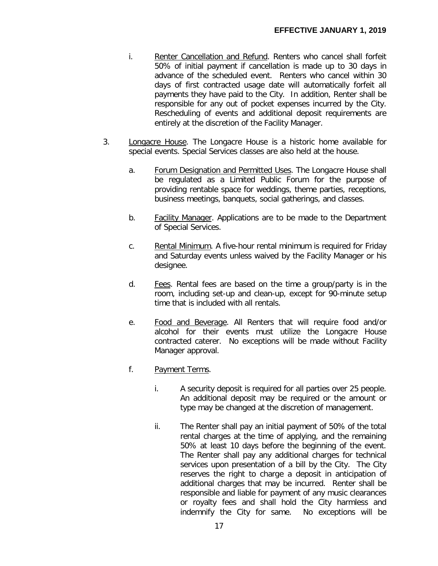- i. Renter Cancellation and Refund. Renters who cancel shall forfeit 50% of initial payment if cancellation is made up to 30 days in advance of the scheduled event. Renters who cancel within 30 days of first contracted usage date will automatically forfeit all payments they have paid to the City. In addition, Renter shall be responsible for any out of pocket expenses incurred by the City. Rescheduling of events and additional deposit requirements are entirely at the discretion of the Facility Manager.
- 3. Longacre House. The Longacre House is a historic home available for special events. Special Services classes are also held at the house.
	- a. Forum Designation and Permitted Uses. The Longacre House shall be regulated as a Limited Public Forum for the purpose of providing rentable space for weddings, theme parties, receptions, business meetings, banquets, social gatherings, and classes.
	- b. Facility Manager. Applications are to be made to the Department of Special Services.
	- c. Rental Minimum. A five-hour rental minimum is required for Friday and Saturday events unless waived by the Facility Manager or his designee.
	- d. Fees. Rental fees are based on the time a group/party is in the room, including set-up and clean-up, except for 90-minute setup time that is included with all rentals.
	- e. Food and Beverage. All Renters that will require food and/or alcohol for their events must utilize the Longacre House contracted caterer. No exceptions will be made without Facility Manager approval.
	- f. Payment Terms.
		- i. A security deposit is required for all parties over 25 people. An additional deposit may be required or the amount or type may be changed at the discretion of management.
		- ii. The Renter shall pay an initial payment of 50% of the total rental charges at the time of applying, and the remaining 50% at least 10 days before the beginning of the event. The Renter shall pay any additional charges for technical services upon presentation of a bill by the City. The City reserves the right to charge a deposit in anticipation of additional charges that may be incurred. Renter shall be responsible and liable for payment of any music clearances or royalty fees and shall hold the City harmless and indemnify the City for same. No exceptions will be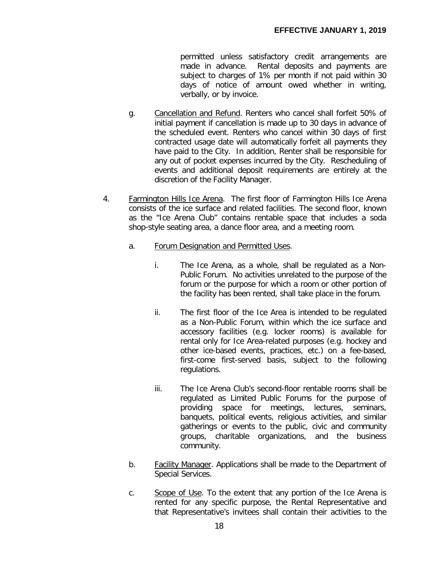permitted unless satisfactory credit arrangements are made in advance. Rental deposits and payments are subject to charges of 1% per month if not paid within 30 days of notice of amount owed whether in writing, verbally, or by invoice.

- g. Cancellation and Refund. Renters who cancel shall forfeit 50% of initial payment if cancellation is made up to 30 days in advance of the scheduled event. Renters who cancel within 30 days of first contracted usage date will automatically forfeit all payments they have paid to the City. In addition, Renter shall be responsible for any out of pocket expenses incurred by the City. Rescheduling of events and additional deposit requirements are entirely at the discretion of the Facility Manager.
- 4. Farmington Hills Ice Arena. The first floor of Farmington Hills Ice Arena consists of the ice surface and related facilities. The second floor, known as the "Ice Arena Club" contains rentable space that includes a soda shop-style seating area, a dance floor area, and a meeting room.
	- a. Forum Designation and Permitted Uses.
		- i. The Ice Arena, as a whole, shall be regulated as a Non-Public Forum. No activities unrelated to the purpose of the forum or the purpose for which a room or other portion of the facility has been rented, shall take place in the forum.
		- ii. The first floor of the Ice Area is intended to be regulated as a Non-Public Forum, within which the ice surface and accessory facilities (e.g. locker rooms) is available for rental only for Ice Area-related purposes (e.g. hockey and other ice-based events, practices, etc.) on a fee-based, first-come first-served basis, subject to the following regulations.
		- iii. The Ice Arena Club's second-floor rentable rooms shall be regulated as Limited Public Forums for the purpose of providing space for meetings, lectures, seminars, banquets, political events, religious activities, and similar gatherings or events to the public, civic and community groups, charitable organizations, and the business community.
	- b. Facility Manager. Applications shall be made to the Department of Special Services.
	- c. Scope of Use. To the extent that any portion of the Ice Arena is rented for any specific purpose, the Rental Representative and that Representative's invitees shall contain their activities to the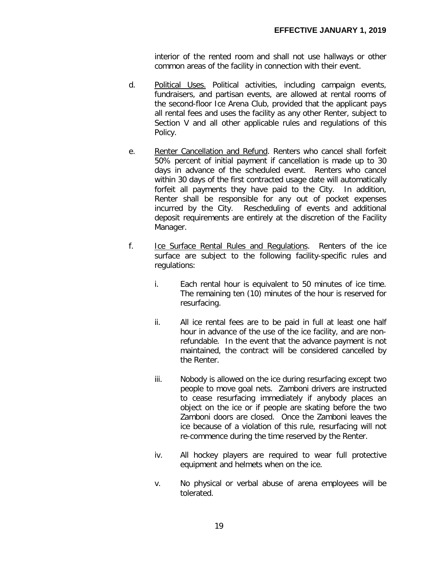interior of the rented room and shall not use hallways or other common areas of the facility in connection with their event.

- d. Political Uses. Political activities, including campaign events, fundraisers, and partisan events, are allowed at rental rooms of the second-floor Ice Arena Club, provided that the applicant pays all rental fees and uses the facility as any other Renter, subject to Section V and all other applicable rules and regulations of this Policy.
- e. Renter Cancellation and Refund. Renters who cancel shall forfeit 50% percent of initial payment if cancellation is made up to 30 days in advance of the scheduled event. Renters who cancel within 30 days of the first contracted usage date will automatically forfeit all payments they have paid to the City. In addition, Renter shall be responsible for any out of pocket expenses incurred by the City. Rescheduling of events and additional deposit requirements are entirely at the discretion of the Facility Manager.
- f. Ice Surface Rental Rules and Regulations. Renters of the ice surface are subject to the following facility-specific rules and regulations:
	- i. Each rental hour is equivalent to 50 minutes of ice time. The remaining ten (10) minutes of the hour is reserved for resurfacing.
	- ii. All ice rental fees are to be paid in full at least one half hour in advance of the use of the ice facility, and are nonrefundable. In the event that the advance payment is not maintained, the contract will be considered cancelled by the Renter.
	- iii. Nobody is allowed on the ice during resurfacing except two people to move goal nets. Zamboni drivers are instructed to cease resurfacing immediately if anybody places an object on the ice or if people are skating before the two Zamboni doors are closed. Once the Zamboni leaves the ice because of a violation of this rule, resurfacing will not re-commence during the time reserved by the Renter.
	- iv. All hockey players are required to wear full protective equipment and helmets when on the ice.
	- v. No physical or verbal abuse of arena employees will be tolerated.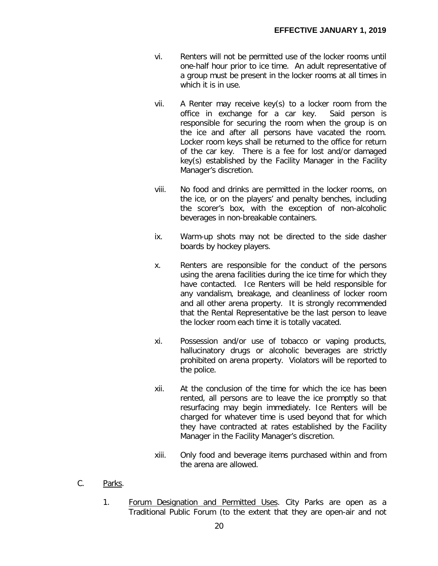- vi. Renters will not be permitted use of the locker rooms until one-half hour prior to ice time. An adult representative of a group must be present in the locker rooms at all times in which it is in use.
- vii. A Renter may receive key(s) to a locker room from the office in exchange for a car key. Said person is responsible for securing the room when the group is on the ice and after all persons have vacated the room. Locker room keys shall be returned to the office for return of the car key. There is a fee for lost and/or damaged key(s) established by the Facility Manager in the Facility Manager's discretion.
- viii. No food and drinks are permitted in the locker rooms, on the ice, or on the players' and penalty benches, including the scorer's box, with the exception of non-alcoholic beverages in non-breakable containers.
- ix. Warm-up shots may not be directed to the side dasher boards by hockey players.
- x. Renters are responsible for the conduct of the persons using the arena facilities during the ice time for which they have contacted. Ice Renters will be held responsible for any vandalism, breakage, and cleanliness of locker room and all other arena property. It is strongly recommended that the Rental Representative be the last person to leave the locker room each time it is totally vacated.
- xi. Possession and/or use of tobacco or vaping products, hallucinatory drugs or alcoholic beverages are strictly prohibited on arena property. Violators will be reported to the police.
- xii. At the conclusion of the time for which the ice has been rented, all persons are to leave the ice promptly so that resurfacing may begin immediately. Ice Renters will be charged for whatever time is used beyond that for which they have contracted at rates established by the Facility Manager in the Facility Manager's discretion.
- xiii. Only food and beverage items purchased within and from the arena are allowed.
- C. Parks.
	- 1. Forum Designation and Permitted Uses. City Parks are open as a Traditional Public Forum (to the extent that they are open-air and not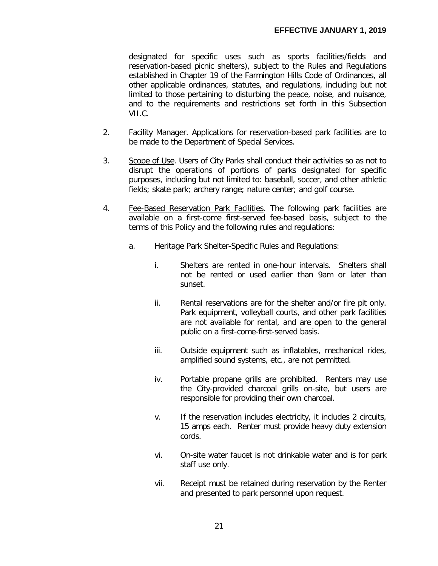designated for specific uses such as sports facilities/fields and reservation-based picnic shelters), subject to the Rules and Regulations established in Chapter 19 of the Farmington Hills Code of Ordinances, all other applicable ordinances, statutes, and regulations, including but not limited to those pertaining to disturbing the peace, noise, and nuisance, and to the requirements and restrictions set forth in this Subsection VII.C.

- 2. **Facility Manager.** Applications for reservation-based park facilities are to be made to the Department of Special Services.
- 3. Scope of Use. Users of City Parks shall conduct their activities so as not to disrupt the operations of portions of parks designated for specific purposes, including but not limited to: baseball, soccer, and other athletic fields; skate park; archery range; nature center; and golf course.
- 4. Fee-Based Reservation Park Facilities. The following park facilities are available on a first-come first-served fee-based basis, subject to the terms of this Policy and the following rules and regulations:
	- a. Heritage Park Shelter-Specific Rules and Regulations:
		- i. Shelters are rented in one-hour intervals. Shelters shall not be rented or used earlier than 9am or later than sunset.
		- ii. Rental reservations are for the shelter and/or fire pit only. Park equipment, volleyball courts, and other park facilities are not available for rental, and are open to the general public on a first-come-first-served basis.
		- iii. Outside equipment such as inflatables, mechanical rides, amplified sound systems, etc., are not permitted.
		- iv. Portable propane grills are prohibited. Renters may use the City-provided charcoal grills on-site, but users are responsible for providing their own charcoal.
		- v. If the reservation includes electricity, it includes 2 circuits, 15 amps each. Renter must provide heavy duty extension cords.
		- vi. On-site water faucet is not drinkable water and is for park staff use only.
		- vii. Receipt must be retained during reservation by the Renter and presented to park personnel upon request.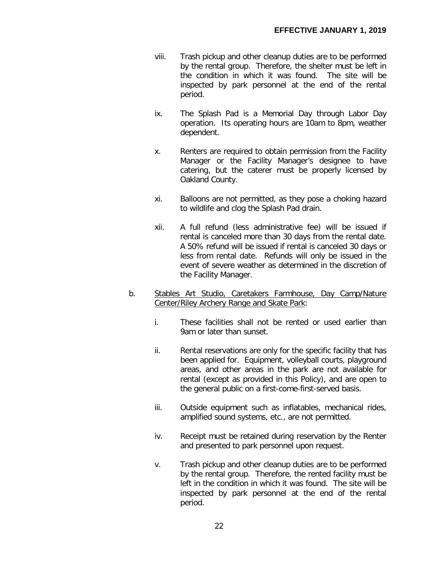- viii. Trash pickup and other cleanup duties are to be performed by the rental group. Therefore, the shelter must be left in the condition in which it was found. The site will be inspected by park personnel at the end of the rental period.
- ix. The Splash Pad is a Memorial Day through Labor Day operation. Its operating hours are 10am to 8pm, weather dependent.
- x. Renters are required to obtain permission from the Facility Manager or the Facility Manager's designee to have catering, but the caterer must be properly licensed by Oakland County.
- xi. Balloons are not permitted, as they pose a choking hazard to wildlife and clog the Splash Pad drain.
- xii. A full refund (less administrative fee) will be issued if rental is canceled more than 30 days from the rental date. A 50% refund will be issued if rental is canceled 30 days or less from rental date. Refunds will only be issued in the event of severe weather as determined in the discretion of the Facility Manager.
- b. Stables Art Studio, Caretakers Farmhouse, Day Camp/Nature Center/Riley Archery Range and Skate Park:
	- i. These facilities shall not be rented or used earlier than 9am or later than sunset.
	- ii. Rental reservations are only for the specific facility that has been applied for. Equipment, volleyball courts, playground areas, and other areas in the park are not available for rental (except as provided in this Policy), and are open to the general public on a first-come-first-served basis.
	- iii. Outside equipment such as inflatables, mechanical rides, amplified sound systems, etc., are not permitted.
	- iv. Receipt must be retained during reservation by the Renter and presented to park personnel upon request.
	- v. Trash pickup and other cleanup duties are to be performed by the rental group. Therefore, the rented facility must be left in the condition in which it was found. The site will be inspected by park personnel at the end of the rental period.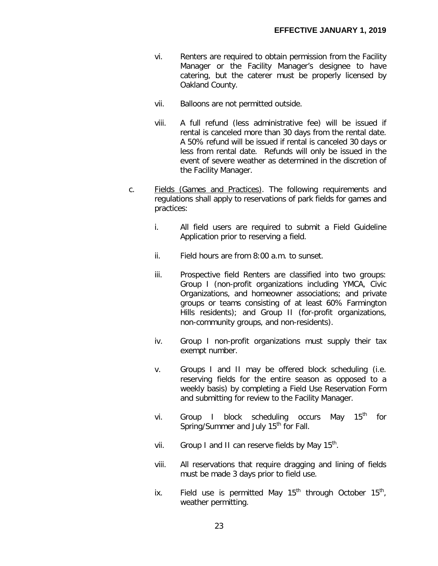- vi. Renters are required to obtain permission from the Facility Manager or the Facility Manager's designee to have catering, but the caterer must be properly licensed by Oakland County.
- vii. Balloons are not permitted outside.
- viii. A full refund (less administrative fee) will be issued if rental is canceled more than 30 days from the rental date. A 50% refund will be issued if rental is canceled 30 days or less from rental date. Refunds will only be issued in the event of severe weather as determined in the discretion of the Facility Manager.
- c. Fields (Games and Practices). The following requirements and regulations shall apply to reservations of park fields for games and practices:
	- i. All field users are required to submit a Field Guideline Application prior to reserving a field.
	- ii. Field hours are from 8:00 a.m. to sunset.
	- iii. Prospective field Renters are classified into two groups: Group I (non-profit organizations including YMCA, Civic Organizations, and homeowner associations; and private groups or teams consisting of at least 60% Farmington Hills residents); and Group II (for-profit organizations, non-community groups, and non-residents).
	- iv. Group I non-profit organizations must supply their tax exempt number.
	- v. Groups I and II may be offered block scheduling (i.e. reserving fields for the entire season as opposed to a weekly basis) by completing a Field Use Reservation Form and submitting for review to the Facility Manager.
	- vi. Group I block scheduling occurs May 15<sup>th</sup> for Spring/Summer and July 15<sup>th</sup> for Fall.
	- vii. Group I and II can reserve fields by May  $15^{th}$ .
	- viii. All reservations that require dragging and lining of fields must be made 3 days prior to field use.
	- ix. Field use is permitted May  $15<sup>th</sup>$  through October  $15<sup>th</sup>$ , weather permitting.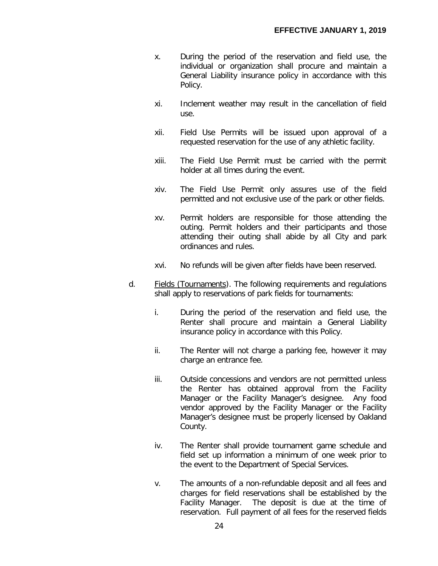- x. During the period of the reservation and field use, the individual or organization shall procure and maintain a General Liability insurance policy in accordance with this Policy.
- xi. Inclement weather may result in the cancellation of field use.
- xii. Field Use Permits will be issued upon approval of a requested reservation for the use of any athletic facility.
- xiii. The Field Use Permit must be carried with the permit holder at all times during the event.
- xiv. The Field Use Permit only assures use of the field permitted and not exclusive use of the park or other fields.
- xv. Permit holders are responsible for those attending the outing. Permit holders and their participants and those attending their outing shall abide by all City and park ordinances and rules.
- xvi. No refunds will be given after fields have been reserved.
- d. Fields (Tournaments). The following requirements and regulations shall apply to reservations of park fields for tournaments:
	- i. During the period of the reservation and field use, the Renter shall procure and maintain a General Liability insurance policy in accordance with this Policy.
	- ii. The Renter will not charge a parking fee, however it may charge an entrance fee.
	- iii. Outside concessions and vendors are not permitted unless the Renter has obtained approval from the Facility Manager or the Facility Manager's designee. Any food vendor approved by the Facility Manager or the Facility Manager's designee must be properly licensed by Oakland County.
	- iv. The Renter shall provide tournament game schedule and field set up information a minimum of one week prior to the event to the Department of Special Services.
	- v. The amounts of a non-refundable deposit and all fees and charges for field reservations shall be established by the Facility Manager. The deposit is due at the time of reservation. Full payment of all fees for the reserved fields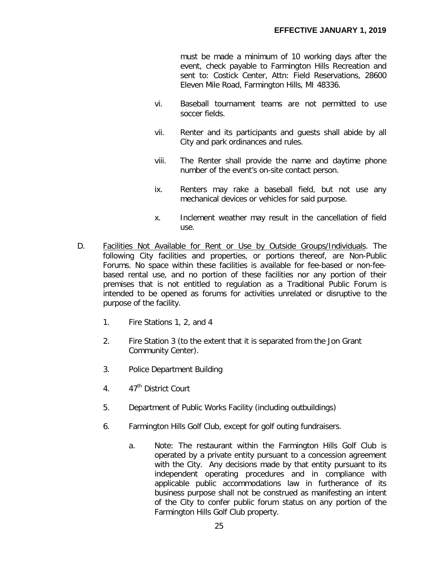must be made a minimum of 10 working days after the event, check payable to Farmington Hills Recreation and sent to: Costick Center, Attn: Field Reservations, 28600 Eleven Mile Road, Farmington Hills, MI 48336.

- vi. Baseball tournament teams are not permitted to use soccer fields.
- vii. Renter and its participants and guests shall abide by all City and park ordinances and rules.
- viii. The Renter shall provide the name and daytime phone number of the event's on-site contact person.
- ix. Renters may rake a baseball field, but not use any mechanical devices or vehicles for said purpose.
- x. Inclement weather may result in the cancellation of field use.
- D. Facilities Not Available for Rent or Use by Outside Groups/Individuals. The following City facilities and properties, or portions thereof, are Non-Public Forums. No space within these facilities is available for fee-based or non-feebased rental use, and no portion of these facilities nor any portion of their premises that is not entitled to regulation as a Traditional Public Forum is intended to be opened as forums for activities unrelated or disruptive to the purpose of the facility.
	- 1. Fire Stations 1, 2, and 4
	- 2. Fire Station 3 (to the extent that it is separated from the Jon Grant Community Center).
	- 3. Police Department Building
	- $4.47<sup>th</sup>$  District Court
	- 5. Department of Public Works Facility (including outbuildings)
	- 6. Farmington Hills Golf Club, except for golf outing fundraisers.
		- a. Note: The restaurant within the Farmington Hills Golf Club is operated by a private entity pursuant to a concession agreement with the City. Any decisions made by that entity pursuant to its independent operating procedures and in compliance with applicable public accommodations law in furtherance of its business purpose shall not be construed as manifesting an intent of the City to confer public forum status on any portion of the Farmington Hills Golf Club property.